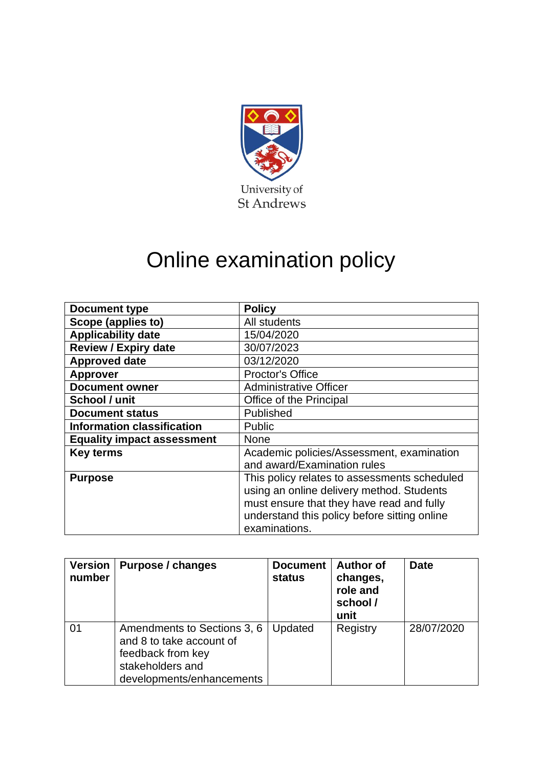

# Online examination policy

| Document type                     | <b>Policy</b>                                |
|-----------------------------------|----------------------------------------------|
| Scope (applies to)                | All students                                 |
| <b>Applicability date</b>         | 15/04/2020                                   |
| <b>Review / Expiry date</b>       | 30/07/2023                                   |
| <b>Approved date</b>              | 03/12/2020                                   |
| <b>Approver</b>                   | <b>Proctor's Office</b>                      |
| <b>Document owner</b>             | <b>Administrative Officer</b>                |
| School / unit                     | Office of the Principal                      |
| <b>Document status</b>            | Published                                    |
| <b>Information classification</b> | <b>Public</b>                                |
| <b>Equality impact assessment</b> | <b>None</b>                                  |
| <b>Key terms</b>                  | Academic policies/Assessment, examination    |
|                                   | and award/Examination rules                  |
| <b>Purpose</b>                    | This policy relates to assessments scheduled |
|                                   | using an online delivery method. Students    |
|                                   | must ensure that they have read and fully    |
|                                   | understand this policy before sitting online |
|                                   | examinations.                                |

| <b>Version</b><br>number | Purpose / changes                                                                                                             | <b>Document</b><br>status | <b>Author of</b><br>changes,<br>role and<br>school /<br>unit | <b>Date</b> |
|--------------------------|-------------------------------------------------------------------------------------------------------------------------------|---------------------------|--------------------------------------------------------------|-------------|
| 01                       | Amendments to Sections 3, 6<br>and 8 to take account of<br>feedback from key<br>stakeholders and<br>developments/enhancements | Updated                   | Registry                                                     | 28/07/2020  |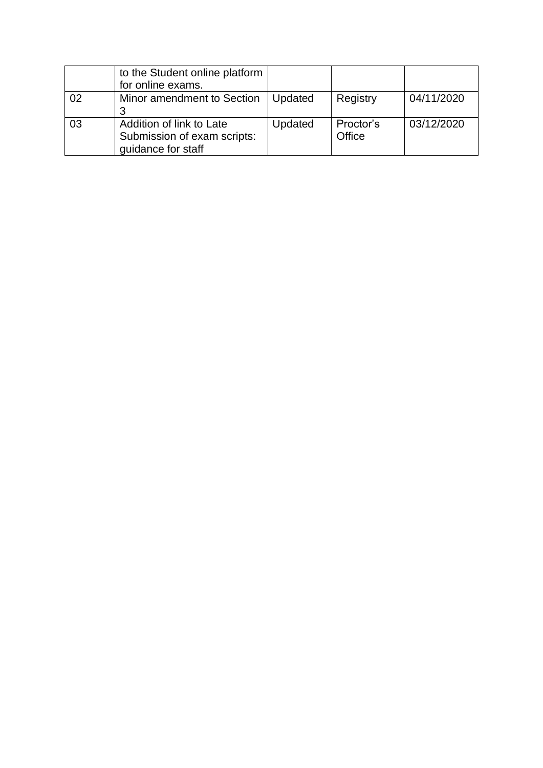|    | to the Student online platform<br>for online exams.                           |         |                     |            |
|----|-------------------------------------------------------------------------------|---------|---------------------|------------|
| 02 | Minor amendment to Section<br>3                                               | Updated | Registry            | 04/11/2020 |
| 03 | Addition of link to Late<br>Submission of exam scripts:<br>quidance for staff | Updated | Proctor's<br>Office | 03/12/2020 |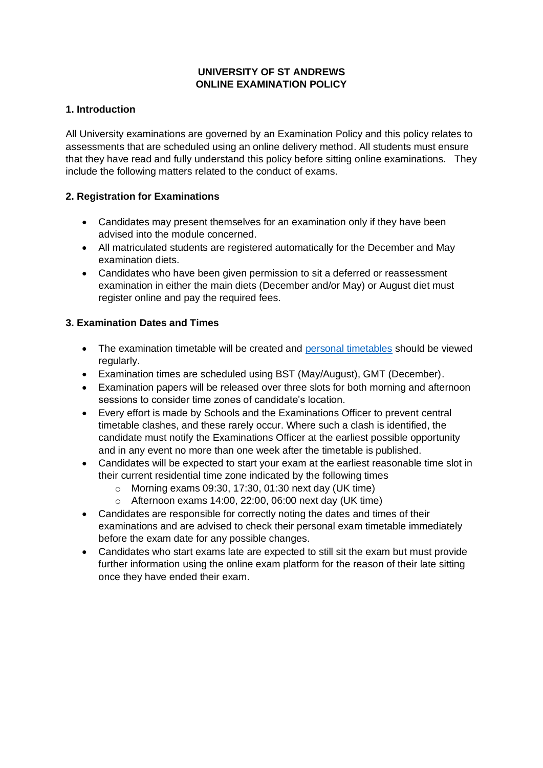# **UNIVERSITY OF ST ANDREWS ONLINE EXAMINATION POLICY**

#### **1. Introduction**

All University examinations are governed by an Examination Policy and this policy relates to assessments that are scheduled using an online delivery method. All students must ensure that they have read and fully understand this policy before sitting online examinations. They include the following matters related to the conduct of exams.

# **2. Registration for Examinations**

- Candidates may present themselves for an examination only if they have been advised into the module concerned.
- All matriculated students are registered automatically for the December and May examination diets.
- Candidates who have been given permission to sit a deferred or reassessment examination in either the main diets (December and/or May) or August diet must register online and pay the required fees.

#### **3. Examination Dates and Times**

- The examination timetable will be created and [personal timetables](https://portal.st-andrews.ac.uk/timetable/exams) should be viewed regularly.
- Examination times are scheduled using BST (May/August), GMT (December).
- Examination papers will be released over three slots for both morning and afternoon sessions to consider time zones of candidate's location.
- Every effort is made by Schools and the Examinations Officer to prevent central timetable clashes, and these rarely occur. Where such a clash is identified, the candidate must notify the Examinations Officer at the earliest possible opportunity and in any event no more than one week after the timetable is published.
- Candidates will be expected to start your exam at the earliest reasonable time slot in their current residential time zone indicated by the following times
	- $\circ$  Morning exams 09:30, 17:30, 01:30 next day (UK time)
	- $\circ$  Afternoon exams 14:00, 22:00, 06:00 next day (UK time)
- Candidates are responsible for correctly noting the dates and times of their examinations and are advised to check their personal exam timetable immediately before the exam date for any possible changes.
- Candidates who start exams late are expected to still sit the exam but must provide further information using the online exam platform for the reason of their late sitting once they have ended their exam.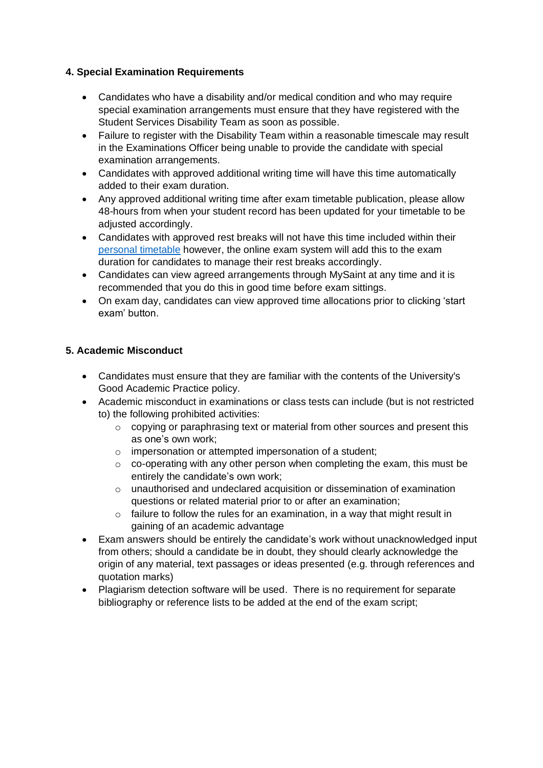# **4. Special Examination Requirements**

- Candidates who have a disability and/or medical condition and who may require special examination arrangements must ensure that they have registered with the Student Services Disability Team as soon as possible.
- Failure to register with the Disability Team within a reasonable timescale may result in the Examinations Officer being unable to provide the candidate with special examination arrangements.
- Candidates with approved additional writing time will have this time automatically added to their exam duration.
- Any approved additional writing time after exam timetable publication, please allow 48-hours from when your student record has been updated for your timetable to be adjusted accordingly.
- Candidates with approved rest breaks will not have this time included within their [personal timetable](https://portal.st-andrews.ac.uk/timetable/exams) however, the online exam system will add this to the exam duration for candidates to manage their rest breaks accordingly.
- Candidates can view agreed arrangements through MySaint at any time and it is recommended that you do this in good time before exam sittings.
- On exam day, candidates can view approved time allocations prior to clicking 'start exam' button.

#### **5. Academic Misconduct**

- Candidates must ensure that they are familiar with the contents of the University's Good Academic Practice policy.
- Academic misconduct in examinations or class tests can include (but is not restricted to) the following prohibited activities:
	- $\circ$  copying or paraphrasing text or material from other sources and present this as one's own work;
	- o impersonation or attempted impersonation of a student;
	- $\circ$  co-operating with any other person when completing the exam, this must be entirely the candidate's own work;
	- o unauthorised and undeclared acquisition or dissemination of examination questions or related material prior to or after an examination;
	- $\circ$  failure to follow the rules for an examination, in a way that might result in gaining of an academic advantage
- Exam answers should be entirely the candidate's work without unacknowledged input from others; should a candidate be in doubt, they should clearly acknowledge the origin of any material, text passages or ideas presented (e.g. through references and quotation marks)
- Plagiarism detection software will be used. There is no requirement for separate bibliography or reference lists to be added at the end of the exam script;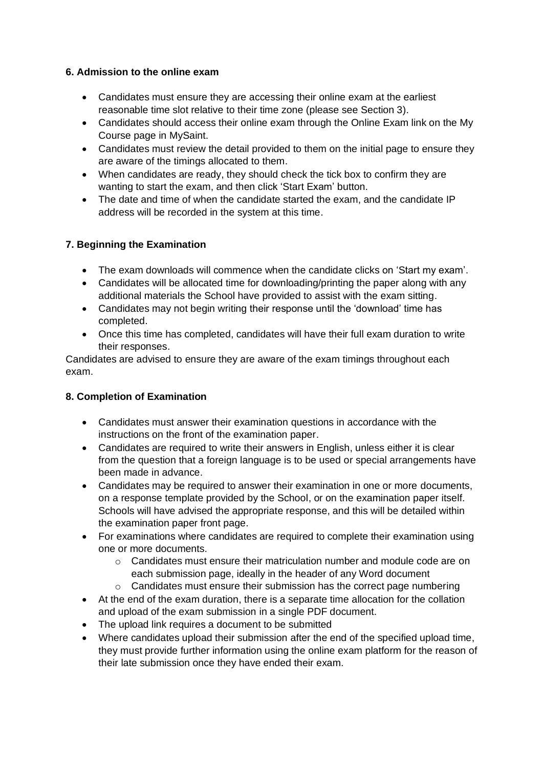#### **6. Admission to the online exam**

- Candidates must ensure they are accessing their online exam at the earliest reasonable time slot relative to their time zone (please see Section 3).
- Candidates should access their online exam through the Online Exam link on the My Course page in MySaint.
- Candidates must review the detail provided to them on the initial page to ensure they are aware of the timings allocated to them.
- When candidates are ready, they should check the tick box to confirm they are wanting to start the exam, and then click 'Start Exam' button.
- The date and time of when the candidate started the exam, and the candidate IP address will be recorded in the system at this time.

# **7. Beginning the Examination**

- The exam downloads will commence when the candidate clicks on 'Start my exam'.
- Candidates will be allocated time for downloading/printing the paper along with any additional materials the School have provided to assist with the exam sitting.
- Candidates may not begin writing their response until the 'download' time has completed.
- Once this time has completed, candidates will have their full exam duration to write their responses.

Candidates are advised to ensure they are aware of the exam timings throughout each exam.

# **8. Completion of Examination**

- Candidates must answer their examination questions in accordance with the instructions on the front of the examination paper.
- Candidates are required to write their answers in English, unless either it is clear from the question that a foreign language is to be used or special arrangements have been made in advance.
- Candidates may be required to answer their examination in one or more documents, on a response template provided by the School, or on the examination paper itself. Schools will have advised the appropriate response, and this will be detailed within the examination paper front page.
- For examinations where candidates are required to complete their examination using one or more documents.
	- $\circ$  Candidates must ensure their matriculation number and module code are on each submission page, ideally in the header of any Word document
	- $\circ$  Candidates must ensure their submission has the correct page numbering
- At the end of the exam duration, there is a separate time allocation for the collation and upload of the exam submission in a single PDF document.
- The upload link requires a document to be submitted
- Where candidates upload their submission after the end of the specified upload time, they must provide further information using the online exam platform for the reason of their late submission once they have ended their exam.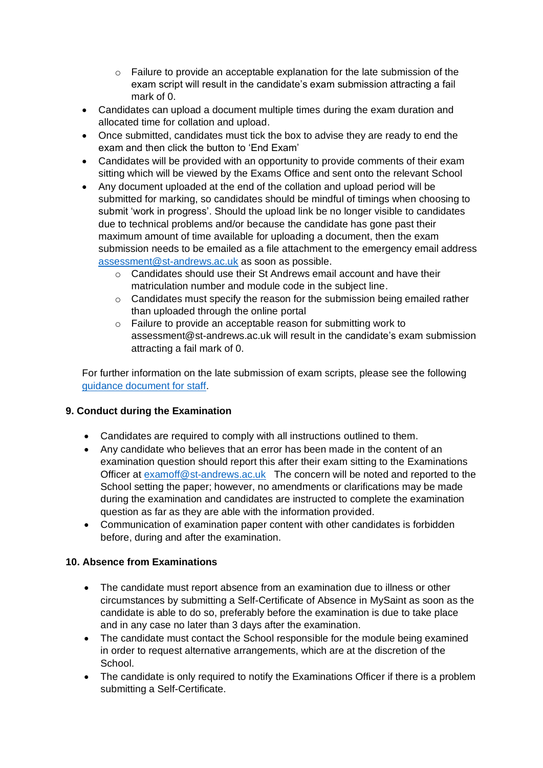- $\circ$  Failure to provide an acceptable explanation for the late submission of the exam script will result in the candidate's exam submission attracting a fail mark of 0.
- Candidates can upload a document multiple times during the exam duration and allocated time for collation and upload.
- Once submitted, candidates must tick the box to advise they are ready to end the exam and then click the button to 'End Exam'
- Candidates will be provided with an opportunity to provide comments of their exam sitting which will be viewed by the Exams Office and sent onto the relevant School
- Any document uploaded at the end of the collation and upload period will be submitted for marking, so candidates should be mindful of timings when choosing to submit 'work in progress'. Should the upload link be no longer visible to candidates due to technical problems and/or because the candidate has gone past their maximum amount of time available for uploading a document, then the exam submission needs to be emailed as a file attachment to the emergency email address [assessment@st-andrews.ac.uk](mailto:assessment@st-andrews.ac.uk) as soon as possible.
	- Candidates should use their St Andrews email account and have their matriculation number and module code in the subject line.
	- $\circ$  Candidates must specify the reason for the submission being emailed rather than uploaded through the online portal
	- o Failure to provide an acceptable reason for submitting work to assessment@st-andrews.ac.uk will result in the candidate's exam submission attracting a fail mark of 0.

For further information on the late submission of exam scripts, please see the following [guidance document for staff.](https://www.st-andrews.ac.uk/policy/academic-policies-assessment-examination-and-award-examination-rules/internal/guidance-for-staff-late-submission-of-exam-scripts.pdf)

# **9. Conduct during the Examination**

- Candidates are required to comply with all instructions outlined to them.
- Any candidate who believes that an error has been made in the content of an examination question should report this after their exam sitting to the Examinations Officer at [examoff@st-andrews.ac.uk](mailto:examoff@st-andrews.ac.uk) The concern will be noted and reported to the School setting the paper; however, no amendments or clarifications may be made during the examination and candidates are instructed to complete the examination question as far as they are able with the information provided.
- Communication of examination paper content with other candidates is forbidden before, during and after the examination.

# **10. Absence from Examinations**

- The candidate must report absence from an examination due to illness or other circumstances by submitting a Self-Certificate of Absence in MySaint as soon as the candidate is able to do so, preferably before the examination is due to take place and in any case no later than 3 days after the examination.
- The candidate must contact the School responsible for the module being examined in order to request alternative arrangements, which are at the discretion of the School.
- The candidate is only required to notify the Examinations Officer if there is a problem submitting a Self-Certificate.